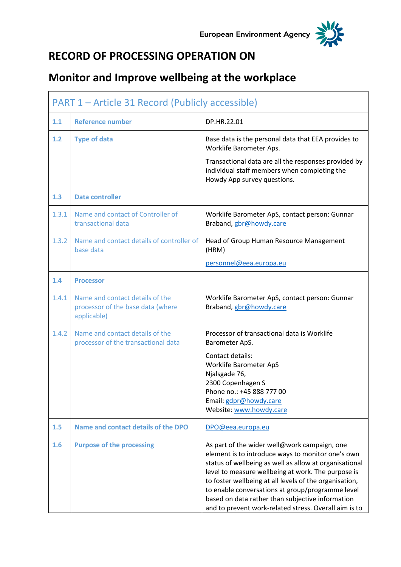

## **RECORD OF PROCESSING OPERATION ON**

## **Monitor and Improve wellbeing at the workplace**

| PART 1 – Article 31 Record (Publicly accessible) |                                                                                     |                                                                                                                                                                                                                                                                                                                                                                                                                                              |
|--------------------------------------------------|-------------------------------------------------------------------------------------|----------------------------------------------------------------------------------------------------------------------------------------------------------------------------------------------------------------------------------------------------------------------------------------------------------------------------------------------------------------------------------------------------------------------------------------------|
| 1.1                                              | <b>Reference number</b>                                                             | DP.HR.22.01                                                                                                                                                                                                                                                                                                                                                                                                                                  |
| 1.2                                              | <b>Type of data</b>                                                                 | Base data is the personal data that EEA provides to<br>Worklife Barometer Aps.                                                                                                                                                                                                                                                                                                                                                               |
|                                                  |                                                                                     | Transactional data are all the responses provided by<br>individual staff members when completing the<br>Howdy App survey questions.                                                                                                                                                                                                                                                                                                          |
| 1.3                                              | <b>Data controller</b>                                                              |                                                                                                                                                                                                                                                                                                                                                                                                                                              |
| 1.3.1                                            | Name and contact of Controller of<br>transactional data                             | Worklife Barometer ApS, contact person: Gunnar<br>Braband, gbr@howdy.care                                                                                                                                                                                                                                                                                                                                                                    |
| 1.3.2                                            | Name and contact details of controller of<br>base data                              | Head of Group Human Resource Management<br>(HRM)                                                                                                                                                                                                                                                                                                                                                                                             |
|                                                  |                                                                                     | personnel@eea.europa.eu                                                                                                                                                                                                                                                                                                                                                                                                                      |
| 1.4                                              | <b>Processor</b>                                                                    |                                                                                                                                                                                                                                                                                                                                                                                                                                              |
| 1.4.1                                            | Name and contact details of the<br>processor of the base data (where<br>applicable) | Worklife Barometer ApS, contact person: Gunnar<br>Braband, gbr@howdy.care                                                                                                                                                                                                                                                                                                                                                                    |
| 1.4.2                                            | Name and contact details of the<br>processor of the transactional data              | Processor of transactional data is Worklife<br>Barometer ApS.                                                                                                                                                                                                                                                                                                                                                                                |
|                                                  |                                                                                     | Contact details:<br>Worklife Barometer ApS<br>Njalsgade 76,<br>2300 Copenhagen S<br>Phone no.: +45 888 777 00<br>Email: gdpr@howdy.care<br>Website: www.howdy.care                                                                                                                                                                                                                                                                           |
| 1.5                                              | Name and contact details of the DPO                                                 | DPO@eea.europa.eu                                                                                                                                                                                                                                                                                                                                                                                                                            |
| 1.6                                              | <b>Purpose of the processing</b>                                                    | As part of the wider well@work campaign, one<br>element is to introduce ways to monitor one's own<br>status of wellbeing as well as allow at organisational<br>level to measure wellbeing at work. The purpose is<br>to foster wellbeing at all levels of the organisation,<br>to enable conversations at group/programme level<br>based on data rather than subjective information<br>and to prevent work-related stress. Overall aim is to |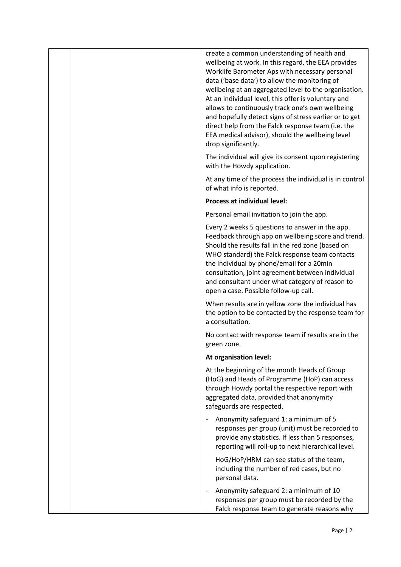|  | create a common understanding of health and<br>wellbeing at work. In this regard, the EEA provides<br>Worklife Barometer Aps with necessary personal<br>data ('base data') to allow the monitoring of<br>wellbeing at an aggregated level to the organisation.<br>At an individual level, this offer is voluntary and<br>allows to continuously track one's own wellbeing<br>and hopefully detect signs of stress earlier or to get<br>direct help from the Falck response team (i.e. the<br>EEA medical advisor), should the wellbeing level<br>drop significantly. |
|--|----------------------------------------------------------------------------------------------------------------------------------------------------------------------------------------------------------------------------------------------------------------------------------------------------------------------------------------------------------------------------------------------------------------------------------------------------------------------------------------------------------------------------------------------------------------------|
|  | The individual will give its consent upon registering<br>with the Howdy application.                                                                                                                                                                                                                                                                                                                                                                                                                                                                                 |
|  | At any time of the process the individual is in control<br>of what info is reported.                                                                                                                                                                                                                                                                                                                                                                                                                                                                                 |
|  | <b>Process at individual level:</b>                                                                                                                                                                                                                                                                                                                                                                                                                                                                                                                                  |
|  | Personal email invitation to join the app.                                                                                                                                                                                                                                                                                                                                                                                                                                                                                                                           |
|  | Every 2 weeks 5 questions to answer in the app.<br>Feedback through app on wellbeing score and trend.<br>Should the results fall in the red zone (based on<br>WHO standard) the Falck response team contacts<br>the individual by phone/email for a 20min<br>consultation, joint agreement between individual<br>and consultant under what category of reason to<br>open a case. Possible follow-up call.                                                                                                                                                            |
|  | When results are in yellow zone the individual has<br>the option to be contacted by the response team for<br>a consultation.                                                                                                                                                                                                                                                                                                                                                                                                                                         |
|  | No contact with response team if results are in the<br>green zone.                                                                                                                                                                                                                                                                                                                                                                                                                                                                                                   |
|  | At organisation level:                                                                                                                                                                                                                                                                                                                                                                                                                                                                                                                                               |
|  | At the beginning of the month Heads of Group<br>(HoG) and Heads of Programme (HoP) can access<br>through Howdy portal the respective report with<br>aggregated data, provided that anonymity<br>safeguards are respected.                                                                                                                                                                                                                                                                                                                                            |
|  | Anonymity safeguard 1: a minimum of 5<br>responses per group (unit) must be recorded to<br>provide any statistics. If less than 5 responses,<br>reporting will roll-up to next hierarchical level.                                                                                                                                                                                                                                                                                                                                                                   |
|  | HoG/HoP/HRM can see status of the team,<br>including the number of red cases, but no<br>personal data.                                                                                                                                                                                                                                                                                                                                                                                                                                                               |
|  | Anonymity safeguard 2: a minimum of 10<br>responses per group must be recorded by the<br>Falck response team to generate reasons why                                                                                                                                                                                                                                                                                                                                                                                                                                 |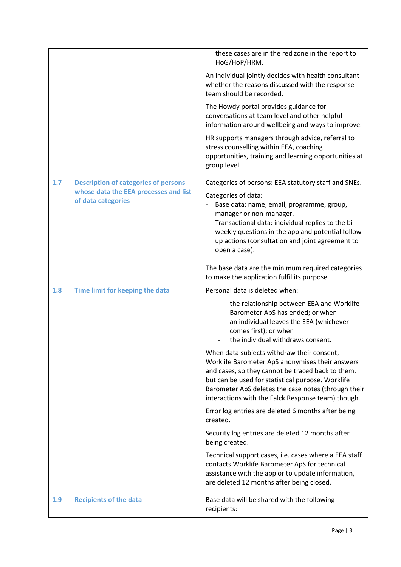|     |                                                                                                            | these cases are in the red zone in the report to<br>HoG/HoP/HRM.                                                                                                                                                                                                                                                                                              |
|-----|------------------------------------------------------------------------------------------------------------|---------------------------------------------------------------------------------------------------------------------------------------------------------------------------------------------------------------------------------------------------------------------------------------------------------------------------------------------------------------|
|     |                                                                                                            | An individual jointly decides with health consultant<br>whether the reasons discussed with the response<br>team should be recorded.                                                                                                                                                                                                                           |
|     |                                                                                                            | The Howdy portal provides guidance for<br>conversations at team level and other helpful<br>information around wellbeing and ways to improve.                                                                                                                                                                                                                  |
|     |                                                                                                            | HR supports managers through advice, referral to<br>stress counselling within EEA, coaching<br>opportunities, training and learning opportunities at<br>group level.                                                                                                                                                                                          |
| 1.7 | <b>Description of categories of persons</b><br>whose data the EEA processes and list<br>of data categories | Categories of persons: EEA statutory staff and SNEs.<br>Categories of data:<br>Base data: name, email, programme, group,<br>manager or non-manager.<br>Transactional data: individual replies to the bi-<br>$\overline{\phantom{a}}$<br>weekly questions in the app and potential follow-<br>up actions (consultation and joint agreement to<br>open a case). |
|     |                                                                                                            | The base data are the minimum required categories<br>to make the application fulfil its purpose.                                                                                                                                                                                                                                                              |
|     |                                                                                                            |                                                                                                                                                                                                                                                                                                                                                               |
| 1.8 | Time limit for keeping the data                                                                            | Personal data is deleted when:                                                                                                                                                                                                                                                                                                                                |
|     |                                                                                                            | the relationship between EEA and Worklife<br>Barometer ApS has ended; or when<br>an individual leaves the EEA (whichever<br>comes first); or when<br>the individual withdraws consent.                                                                                                                                                                        |
|     |                                                                                                            | When data subjects withdraw their consent,<br>Worklife Barometer ApS anonymises their answers<br>and cases, so they cannot be traced back to them,<br>but can be used for statistical purpose. Worklife<br>Barometer ApS deletes the case notes (through their<br>interactions with the Falck Response team) though.                                          |
|     |                                                                                                            | Error log entries are deleted 6 months after being<br>created.                                                                                                                                                                                                                                                                                                |
|     |                                                                                                            | Security log entries are deleted 12 months after<br>being created.                                                                                                                                                                                                                                                                                            |
|     |                                                                                                            | Technical support cases, i.e. cases where a EEA staff<br>contacts Worklife Barometer ApS for technical<br>assistance with the app or to update information,<br>are deleted 12 months after being closed.                                                                                                                                                      |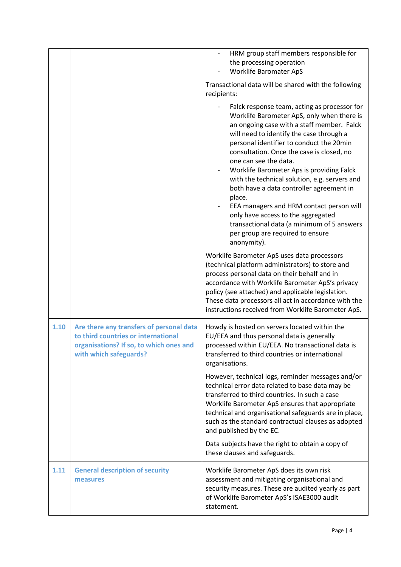|      |                                                                                                                                                      | HRM group staff members responsible for<br>the processing operation<br>Worklife Baromater ApS<br>Transactional data will be shared with the following<br>recipients:<br>Falck response team, acting as processor for<br>Worklife Barometer ApS, only when there is<br>an ongoing case with a staff member. Falck<br>will need to identify the case through a<br>personal identifier to conduct the 20min<br>consultation. Once the case is closed, no<br>one can see the data.<br>Worklife Barometer Aps is providing Falck<br>with the technical solution, e.g. servers and<br>both have a data controller agreement in<br>place.<br>EEA managers and HRM contact person will<br>only have access to the aggregated<br>transactional data (a minimum of 5 answers<br>per group are required to ensure<br>anonymity).<br>Worklife Barometer ApS uses data processors<br>(technical platform administrators) to store and<br>process personal data on their behalf and in<br>accordance with Worklife Barometer ApS's privacy |
|------|------------------------------------------------------------------------------------------------------------------------------------------------------|------------------------------------------------------------------------------------------------------------------------------------------------------------------------------------------------------------------------------------------------------------------------------------------------------------------------------------------------------------------------------------------------------------------------------------------------------------------------------------------------------------------------------------------------------------------------------------------------------------------------------------------------------------------------------------------------------------------------------------------------------------------------------------------------------------------------------------------------------------------------------------------------------------------------------------------------------------------------------------------------------------------------------|
|      |                                                                                                                                                      | policy (see attached) and applicable legislation.<br>These data processors all act in accordance with the<br>instructions received from Worklife Barometer ApS.                                                                                                                                                                                                                                                                                                                                                                                                                                                                                                                                                                                                                                                                                                                                                                                                                                                              |
| 1.10 | Are there any transfers of personal data<br>to third countries or international<br>organisations? If so, to which ones and<br>with which safeguards? | Howdy is hosted on servers located within the<br>EU/EEA and thus personal data is generally<br>processed within EU/EEA. No transactional data is<br>transferred to third countries or international<br>organisations.                                                                                                                                                                                                                                                                                                                                                                                                                                                                                                                                                                                                                                                                                                                                                                                                        |
|      |                                                                                                                                                      | However, technical logs, reminder messages and/or<br>technical error data related to base data may be<br>transferred to third countries. In such a case<br>Worklife Barometer ApS ensures that appropriate<br>technical and organisational safeguards are in place,<br>such as the standard contractual clauses as adopted<br>and published by the EC.                                                                                                                                                                                                                                                                                                                                                                                                                                                                                                                                                                                                                                                                       |
|      |                                                                                                                                                      | Data subjects have the right to obtain a copy of<br>these clauses and safeguards.                                                                                                                                                                                                                                                                                                                                                                                                                                                                                                                                                                                                                                                                                                                                                                                                                                                                                                                                            |
| 1.11 | <b>General description of security</b><br>measures                                                                                                   | Worklife Barometer ApS does its own risk<br>assessment and mitigating organisational and<br>security measures. These are audited yearly as part<br>of Worklife Barometer ApS's ISAE3000 audit<br>statement.                                                                                                                                                                                                                                                                                                                                                                                                                                                                                                                                                                                                                                                                                                                                                                                                                  |